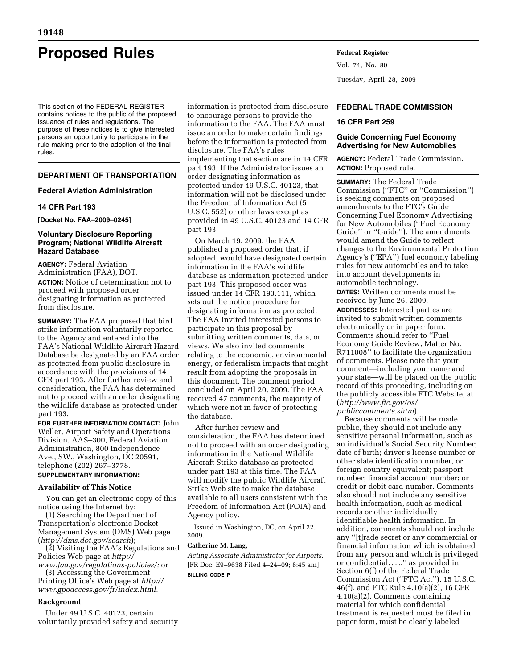# **Proposed Rules Federal Register**

This section of the FEDERAL REGISTER contains notices to the public of the proposed issuance of rules and regulations. The purpose of these notices is to give interested persons an opportunity to participate in the rule making prior to the adoption of the final rules.

# **DEPARTMENT OF TRANSPORTATION**

### **Federal Aviation Administration**

### **14 CFR Part 193**

**[Docket No. FAA–2009–0245]** 

#### **Voluntary Disclosure Reporting Program; National Wildlife Aircraft Hazard Database**

**AGENCY:** Federal Aviation Administration (FAA), DOT. **ACTION:** Notice of determination not to proceed with proposed order designating information as protected from disclosure.

**SUMMARY:** The FAA proposed that bird strike information voluntarily reported to the Agency and entered into the FAA's National Wildlife Aircraft Hazard Database be designated by an FAA order as protected from public disclosure in accordance with the provisions of 14 CFR part 193. After further review and consideration, the FAA has determined not to proceed with an order designating the wildlife database as protected under part 193.

**FOR FURTHER INFORMATION CONTACT:** John Weller, Airport Safety and Operations Division, AAS–300, Federal Aviation Administration, 800 Independence Ave., SW., Washington, DC 20591, telephone (202) 267–3778. **SUPPLEMENTARY INFORMATION:** 

# **Availability of This Notice**

You can get an electronic copy of this notice using the Internet by:

(1) Searching the Department of Transportation's electronic Docket Management System (DMS) Web page (*http://dms.dot.gov/search*);

(2) Visiting the FAA's Regulations and Policies Web page at *http:// www.faa.gov/regulations-policies/;* or

(3) Accessing the Government Printing Office's Web page at *http:// www.gpoaccess.gov/fr/index.html.* 

#### **Background**

Under 49 U.S.C. 40123, certain voluntarily provided safety and security information is protected from disclosure to encourage persons to provide the information to the FAA. The FAA must issue an order to make certain findings before the information is protected from disclosure. The FAA's rules implementing that section are in 14 CFR part 193. If the Administrator issues an order designating information as protected under 49 U.S.C. 40123, that information will not be disclosed under the Freedom of Information Act (5 U.S.C. 552) or other laws except as provided in 49 U.S.C. 40123 and 14 CFR part 193.

On March 19, 2009, the FAA published a proposed order that, if adopted, would have designated certain information in the FAA's wildlife database as information protected under part 193. This proposed order was issued under 14 CFR 193.111, which sets out the notice procedure for designating information as protected. The FAA invited interested persons to participate in this proposal by submitting written comments, data, or views. We also invited comments relating to the economic, environmental, energy, or federalism impacts that might result from adopting the proposals in this document. The comment period concluded on April 20, 2009. The FAA received 47 comments, the majority of which were not in favor of protecting the database.

After further review and consideration, the FAA has determined not to proceed with an order designating information in the National Wildlife Aircraft Strike database as protected under part 193 at this time. The FAA will modify the public Wildlife Aircraft Strike Web site to make the database available to all users consistent with the Freedom of Information Act (FOIA) and Agency policy.

Issued in Washington, DC, on April 22, 2009.

#### **Catherine M. Lang,**

*Acting Associate Administrator for Airports.*  [FR Doc. E9–9638 Filed 4–24–09; 8:45 am] **BILLING CODE P** 

Vol. 74, No. 80 Tuesday, April 28, 2009

# **FEDERAL TRADE COMMISSION**

#### **16 CFR Part 259**

# **Guide Concerning Fuel Economy Advertising for New Automobiles**

**AGENCY:** Federal Trade Commission. **ACTION:** Proposed rule.

**SUMMARY:** The Federal Trade Commission (''FTC'' or ''Commission'') is seeking comments on proposed amendments to the FTC's Guide Concerning Fuel Economy Advertising for New Automobiles (''Fuel Economy Guide'' or ''Guide''). The amendments would amend the Guide to reflect changes to the Environmental Protection Agency's (''EPA'') fuel economy labeling rules for new automobiles and to take into account developments in automobile technology.

**DATES:** Written comments must be received by June 26, 2009.

**ADDRESSES:** Interested parties are invited to submit written comments electronically or in paper form. Comments should refer to ''Fuel Economy Guide Review, Matter No. R711008'' to facilitate the organization of comments. Please note that your comment—including your name and your state—will be placed on the public record of this proceeding, including on the publicly accessible FTC Website, at (*http://www.ftc.gov/os/ publiccomments.shtm*).

Because comments will be made public, they should not include any sensitive personal information, such as an individual's Social Security Number; date of birth; driver's license number or other state identification number, or foreign country equivalent; passport number; financial account number; or credit or debit card number. Comments also should not include any sensitive health information, such as medical records or other individually identifiable health information. In addition, comments should not include any ''[t]rade secret or any commercial or financial information which is obtained from any person and which is privileged or confidential. . . .,'' as provided in Section 6(f) of the Federal Trade Commission Act (''FTC Act''), 15 U.S.C. 46(f), and FTC Rule 4.10(a)(2), 16 CFR 4.10(a)(2). Comments containing material for which confidential treatment is requested must be filed in paper form, must be clearly labeled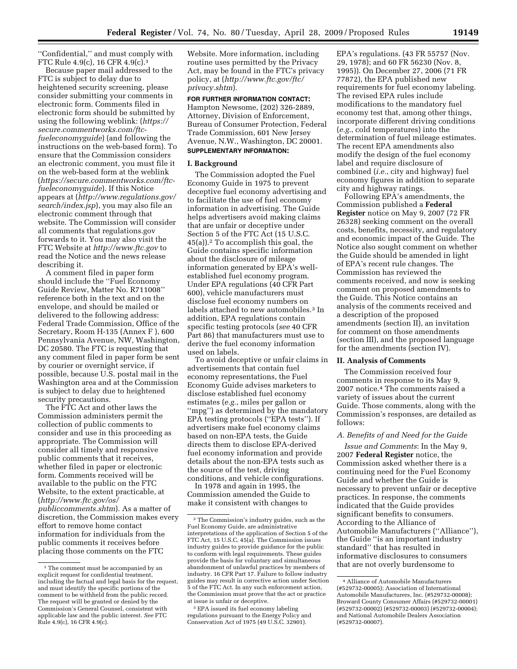''Confidential,'' and must comply with FTC Rule 4.9(c), 16 CFR 4.9(c).1

Because paper mail addressed to the FTC is subject to delay due to heightened security screening, please consider submitting your comments in electronic form. Comments filed in electronic form should be submitted by using the following weblink: (*https:// secure.commentworks.com/ftcfueleconomyguide*) (and following the instructions on the web-based form). To ensure that the Commission considers an electronic comment, you must file it on the web-based form at the weblink (*https://secure.commentworks.com/ftcfueleconomyguide*). If this Notice appears at (*http://www.regulations.gov/ search/index.jsp*), you may also file an electronic comment through that website. The Commission will consider all comments that regulations.gov forwards to it. You may also visit the FTC Website at *http://www.ftc.gov* to read the Notice and the news release describing it.

A comment filed in paper form should include the ''Fuel Economy Guide Review, Matter No. R711008'' reference both in the text and on the envelope, and should be mailed or delivered to the following address: Federal Trade Commission, Office of the Secretary, Room H-135 (Annex F ), 600 Pennsylvania Avenue, NW, Washington, DC 20580. The FTC is requesting that any comment filed in paper form be sent by courier or overnight service, if possible, because U.S. postal mail in the Washington area and at the Commission is subject to delay due to heightened security precautions.

The FTC Act and other laws the Commission administers permit the collection of public comments to consider and use in this proceeding as appropriate. The Commission will consider all timely and responsive public comments that it receives, whether filed in paper or electronic form. Comments received will be available to the public on the FTC Website, to the extent practicable, at (*http://www.ftc.gov/os/ publiccomments.shtm*). As a matter of discretion, the Commission makes every effort to remove home contact information for individuals from the public comments it receives before placing those comments on the FTC

Website. More information, including routine uses permitted by the Privacy Act, may be found in the FTC's privacy policy, at (*http://www.ftc.gov/ftc/ privacy.shtm*).

**FOR FURTHER INFORMATION CONTACT:** 

Hampton Newsome, (202) 326-2889, Attorney, Division of Enforcement, Bureau of Consumer Protection, Federal Trade Commission, 601 New Jersey Avenue, N.W., Washington, DC 20001. **SUPPLEMENTARY INFORMATION:** 

#### **I. Background**

The Commission adopted the Fuel Economy Guide in 1975 to prevent deceptive fuel economy advertising and to facilitate the use of fuel economy information in advertising. The Guide helps advertisers avoid making claims that are unfair or deceptive under Section 5 of the FTC Act (15 U.S.C. 45(a)).2 To accomplish this goal, the Guide contains specific information about the disclosure of mileage information generated by EPA's wellestablished fuel economy program. Under EPA regulations (40 CFR Part 600), vehicle manufacturers must disclose fuel economy numbers on labels attached to new automobiles.3 In addition, EPA regulations contain specific testing protocols (*see* 40 CFR Part 86) that manufacturers must use to derive the fuel economy information used on labels.

To avoid deceptive or unfair claims in advertisements that contain fuel economy representations, the Fuel Economy Guide advises marketers to disclose established fuel economy estimates (*e.g.*, miles per gallon or ''mpg'') as determined by the mandatory EPA testing protocols (''EPA tests''). If advertisers make fuel economy claims based on non-EPA tests, the Guide directs them to disclose EPA-derived fuel economy information and provide details about the non-EPA tests such as the source of the test, driving conditions, and vehicle configurations.

In 1978 and again in 1995, the Commission amended the Guide to make it consistent with changes to

EPA's regulations. (43 FR 55757 (Nov. 29, 1978); and 60 FR 56230 (Nov. 8, 1995)). On December 27, 2006 (71 FR 77872), the EPA published new requirements for fuel economy labeling. The revised EPA rules include modifications to the mandatory fuel economy test that, among other things, incorporate different driving conditions (*e.g.*, cold temperatures) into the determination of fuel mileage estimates. The recent EPA amendments also modify the design of the fuel economy label and require disclosure of combined (*i.e.*, city and highway) fuel economy figures in addition to separate city and highway ratings.

Following EPA's amendments, the Commission published a **Federal Register** notice on May 9, 2007 (72 FR 26328) seeking comment on the overall costs, benefits, necessity, and regulatory and economic impact of the Guide. The Notice also sought comment on whether the Guide should be amended in light of EPA's recent rule changes. The Commission has reviewed the comments received, and now is seeking comment on proposed amendments to the Guide. This Notice contains an analysis of the comments received and a description of the proposed amendments (section II), an invitation for comment on those amendments (section III), and the proposed language for the amendments (section IV).

## **II. Analysis of Comments**

The Commission received four comments in response to its May 9, 2007 notice.4 The comments raised a variety of issues about the current Guide. Those comments, along with the Commission's responses, are detailed as follows:

# *A. Benefits of and Need for the Guide*

*Issue and Comments*: In the May 9, 2007 **Federal Register** notice, the Commission asked whether there is a continuing need for the Fuel Economy Guide and whether the Guide is necessary to prevent unfair or deceptive practices. In response, the comments indicated that the Guide provides significant benefits to consumers. According to the Alliance of Automobile Manufacturers (''Alliance''), the Guide ''is an important industry standard'' that has resulted in informative disclosures to consumers that are not overly burdensome to

<sup>1</sup> The comment must be accompanied by an explicit request for confidential treatment, including the factual and legal basis for the request, and must identify the specific portions of the comment to be withheld from the public record. The request will be granted or denied by the Commission's General Counsel, consistent with applicable law and the public interest. *See* FTC Rule 4.9(c), 16 CFR 4.9(c).

<sup>2</sup> The Commission's industry guides, such as the Fuel Economy Guide, are administrative interpretations of the application of Section 5 of the FTC Act, 15 U.S.C. 45(a). The Commission issues industry guides to provide guidance for the public to conform with legal requirements. These guides provide the basis for voluntary and simultaneous abandonment of unlawful practices by members of industry. 16 CFR Part 17. Failure to follow industry guides may result in corrective action under Section 5 of the FTC Act. In any such enforcement action, the Commission must prove that the act or practice at issue is unfair or deceptive.

<sup>3</sup> EPA issued its fuel economy labeling regulations pursuant to the Energy Policy and Conservation Act of 1975 (49 U.S.C. 32901).

<sup>4</sup> Alliance of Automobile Manufacturers (#529732-00005); Association of International Automobile Manufacturers, Inc. (#529732-00008); Broward County Consumer Affairs (#529732-00001) (#529732-00002) (#529732-00003) (#529732-00004); and National Automobile Dealers Association (#529732-00007).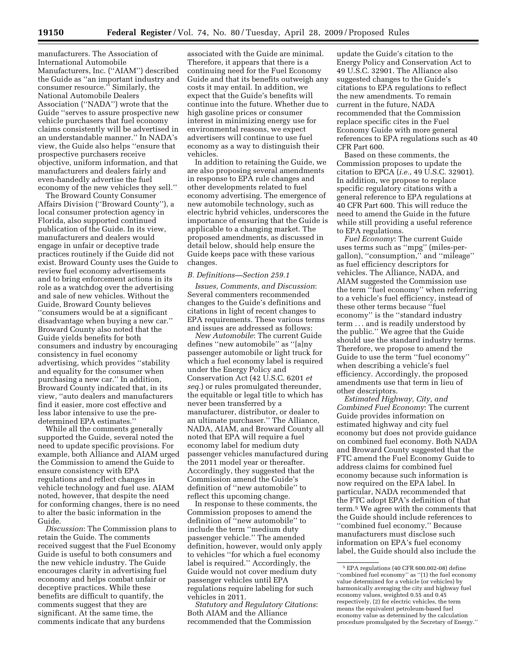manufacturers. The Association of International Automobile Manufacturers, Inc. (''AIAM'') described the Guide as ''an important industry and consumer resource.'' Similarly, the National Automobile Dealers Association (''NADA'') wrote that the Guide ''serves to assure prospective new vehicle purchasers that fuel economy claims consistently will be advertised in an understandable manner.'' In NADA's view, the Guide also helps ''ensure that prospective purchasers receive objective, uniform information, and that manufacturers and dealers fairly and even-handedly advertise the fuel economy of the new vehicles they sell.''

The Broward County Consumer Affairs Division (''Broward County''), a local consumer protection agency in Florida, also supported continued publication of the Guide. In its view, manufacturers and dealers would engage in unfair or deceptive trade practices routinely if the Guide did not exist. Broward County uses the Guide to review fuel economy advertisements and to bring enforcement actions in its role as a watchdog over the advertising and sale of new vehicles. Without the Guide, Broward County believes ''consumers would be at a significant disadvantage when buying a new car.'' Broward County also noted that the Guide yields benefits for both consumers and industry by encouraging consistency in fuel economy advertising, which provides ''stability and equality for the consumer when purchasing a new car.'' In addition, Broward County indicated that, in its view, ''auto dealers and manufacturers find it easier, more cost effective and less labor intensive to use the predetermined EPA estimates.''

While all the comments generally supported the Guide, several noted the need to update specific provisions. For example, both Alliance and AIAM urged the Commission to amend the Guide to ensure consistency with EPA regulations and reflect changes in vehicle technology and fuel use. AIAM noted, however, that despite the need for conforming changes, there is no need to alter the basic information in the Guide.

*Discussion*: The Commission plans to retain the Guide. The comments received suggest that the Fuel Economy Guide is useful to both consumers and the new vehicle industry. The Guide encourages clarity in advertising fuel economy and helps combat unfair or deceptive practices. While these benefits are difficult to quantify, the comments suggest that they are significant. At the same time, the comments indicate that any burdens

associated with the Guide are minimal. Therefore, it appears that there is a continuing need for the Fuel Economy Guide and that its benefits outweigh any costs it may entail. In addition, we expect that the Guide's benefits will continue into the future. Whether due to high gasoline prices or consumer interest in minimizing energy use for environmental reasons, we expect advertisers will continue to use fuel economy as a way to distinguish their vehicles.

In addition to retaining the Guide, we are also proposing several amendments in response to EPA rule changes and other developments related to fuel economy advertising. The emergence of new automobile technology, such as electric hybrid vehicles, underscores the importance of ensuring that the Guide is applicable to a changing market. The proposed amendments, as discussed in detail below, should help ensure the Guide keeps pace with these various changes.

#### *B. Definitions—Section 259.1*

*Issues, Comments, and Discussion*: Several commenters recommended changes to the Guide's definitions and citations in light of recent changes to EPA requirements. These various terms and issues are addressed as follows:

*New Automobile*: The current Guide defines ''new automobile'' as ''[a]ny passenger automobile or light truck for which a fuel economy label is required under the Energy Policy and Conservation Act (42 U.S.C. 6201 *et seq.*) or rules promulgated thereunder, the equitable or legal title to which has never been transferred by a manufacturer, distributor, or dealer to an ultimate purchaser.'' The Alliance, NADA, AIAM, and Broward County all noted that EPA will require a fuel economy label for medium duty passenger vehicles manufactured during the 2011 model year or thereafter. Accordingly, they suggested that the Commission amend the Guide's definition of ''new automobile'' to reflect this upcoming change.

In response to these comments, the Commission proposes to amend the definition of ''new automobile'' to include the term ''medium duty passenger vehicle.'' The amended definition, however, would only apply to vehicles ''for which a fuel economy label is required.'' Accordingly, the Guide would not cover medium duty passenger vehicles until EPA regulations require labeling for such vehicles in 2011.

*Statutory and Regulatory Citations*: Both AIAM and the Alliance recommended that the Commission

update the Guide's citation to the Energy Policy and Conservation Act to 49 U.S.C. 32901. The Alliance also suggested changes to the Guide's citations to EPA regulations to reflect the new amendments. To remain current in the future, NADA recommended that the Commission replace specific cites in the Fuel Economy Guide with more general references to EPA regulations such as 40 CFR Part 600.

Based on these comments, the Commission proposes to update the citation to EPCA (*i.e.*, 49 U.S.C. 32901). In addition, we propose to replace specific regulatory citations with a general reference to EPA regulations at 40 CFR Part 600. This will reduce the need to amend the Guide in the future while still providing a useful reference to EPA regulations.

*Fuel Economy*: The current Guide uses terms such as ''mpg'' (miles-pergallon), ''consumption,'' and ''mileage'' as fuel efficiency descriptors for vehicles. The Alliance, NADA, and AIAM suggested the Commission use the term ''fuel economy'' when referring to a vehicle's fuel efficiency, instead of these other terms because ''fuel economy'' is the ''standard industry term . . . and is readily understood by the public.'' We agree that the Guide should use the standard industry terms. Therefore, we propose to amend the Guide to use the term ''fuel economy'' when describing a vehicle's fuel efficiency. Accordingly, the proposed amendments use that term in lieu of other descriptors.

*Estimated Highway, City, and Combined Fuel Economy*: The current Guide provides information on estimated highway and city fuel economy but does not provide guidance on combined fuel economy. Both NADA and Broward County suggested that the FTC amend the Fuel Economy Guide to address claims for combined fuel economy because such information is now required on the EPA label. In particular, NADA recommended that the FTC adopt EPA's definition of that term.5 We agree with the comments that the Guide should include references to ''combined fuel economy.'' Because manufacturers must disclose such information on EPA's fuel economy label, the Guide should also include the

<sup>5</sup> EPA regulations (40 CFR 600.002-08) define ''combined fuel economy'' as ''(1) the fuel economy value determined for a vehicle (or vehicles) by harmonically averaging the city and highway fuel economy values, weighted 0.55 and 0.45 respectively, (2) for electric vehicles, the term means the equivalent petroleum-based fuel economy value as determined by the calculation procedure promulgated by the Secretary of Energy.''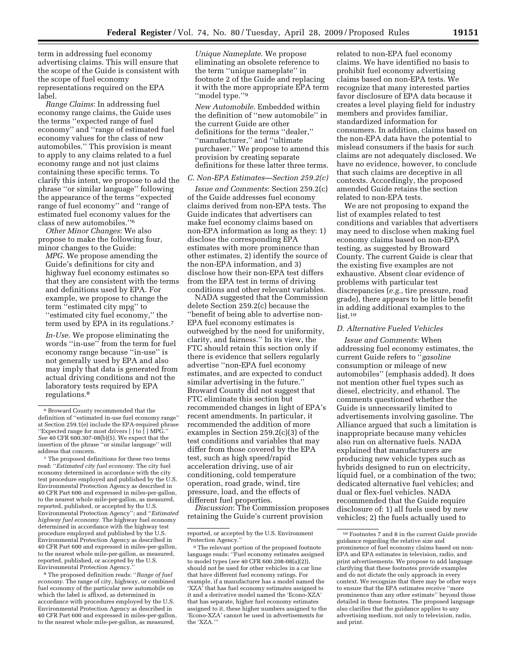term in addressing fuel economy advertising claims. This will ensure that the scope of the Guide is consistent with the scope of fuel economy representations required on the EPA label.

*Range Claims*: In addressing fuel economy range claims, the Guide uses the terms ''expected range of fuel economy'' and ''range of estimated fuel economy values for the class of new automobiles.'' This provision is meant to apply to any claims related to a fuel economy range and not just claims containing these specific terms. To clarify this intent, we propose to add the phrase ''or similar language'' following the appearance of the terms ''expected range of fuel economy'' and ''range of estimated fuel economy values for the class of new automobiles.''6

*Other Minor Changes*: We also propose to make the following four, minor changes to the Guide:

*MPG.* We propose amending the Guide's definitions for city and highway fuel economy estimates so that they are consistent with the terms and definitions used by EPA. For example, we propose to change the term ''estimated city mpg'' to ''estimated city fuel economy,'' the term used by EPA in its regulations.7

*In-Use*. We propose eliminating the words ''in-use'' from the term for fuel economy range because ''in-use'' is not generally used by EPA and also may imply that data is generated from actual driving conditions and not the laboratory tests required by EPA regulations.8

7 The proposed definitions for these two terms read: ''*Estimated city fuel economy*. The city fuel economy determined in accordance with the city test procedure employed and published by the U.S. Environmental Protection Agency as described in 40 CFR Part 600 and expressed in miles-per-gallon, to the nearest whole mile-per-gallon, as measured, reported, published, or accepted by the U.S. Environmental Protection Agency''; and ''*Estimated highway fuel economy*. The highway fuel economy determined in accordance with the highway test procedure employed and published by the U.S. Environmental Protection Agency as described in 40 CFR Part 600 and expressed in miles-per-gallon, to the nearest whole mile-per-gallon, as measured, reported, published, or accepted by the U.S. Environmental Protection Agency.

8 The proposed definition reads: ''*Range of fuel economy*. The range of city, highway, or combined fuel economy of the particular new automobile on which the label is affixed, as determined in accordance with procedures employed by the U.S. Environmental Protection Agency as described in 40 CFR Part 600 and expressed in miles-per-gallon, to the nearest whole mile-per-gallon, as measured,

*Unique Nameplate*. We propose eliminating an obsolete reference to the term ''unique nameplate'' in footnote 2 of the Guide and replacing it with the more appropriate EPA term "model type."9

*New Automobile*. Embedded within the definition of ''new automobile'' in the current Guide are other definitions for the terms ''dealer,'' ''manufacturer,'' and ''ultimate purchaser.'' We propose to amend this provision by creating separate definitions for these latter three terms.

#### *C. Non-EPA Estimates—Section 259.2(c)*

*Issue and Comments*: Section 259.2(c) of the Guide addresses fuel economy claims derived from non-EPA tests. The Guide indicates that advertisers can make fuel economy claims based on non-EPA information as long as they: 1) disclose the corresponding EPA estimates with more prominence than other estimates, 2) identify the source of the non-EPA information, and 3) disclose how their non-EPA test differs from the EPA test in terms of driving conditions and other relevant variables.

NADA suggested that the Commission delete Section 259.2(c) because the ''benefit of being able to advertise non-EPA fuel economy estimates is outweighed by the need for uniformity, clarity, and fairness.'' In its view, the FTC should retain this section only if there is evidence that sellers regularly advertise ''non-EPA fuel economy estimates, and are expected to conduct similar advertising in the future.'' Broward County did not suggest that FTC eliminate this section but recommended changes in light of EPA's recent amendments. In particular, it recommended the addition of more examples in Section 259.2(c)(3) of the test conditions and variables that may differ from those covered by the EPA test, such as high speed/rapid acceleration driving, use of air conditioning, cold temperature operation, road grade, wind, tire pressure, load, and the effects of different fuel properties.

*Discussion*: The Commission proposes retaining the Guide's current provision

related to non-EPA fuel economy claims. We have identified no basis to prohibit fuel economy advertising claims based on non-EPA tests. We recognize that many interested parties favor disclosure of EPA data because it creates a level playing field for industry members and provides familiar, standardized information for consumers. In addition, claims based on the non-EPA data have the potential to mislead consumers if the basis for such claims are not adequately disclosed. We have no evidence, however, to conclude that such claims are deceptive in all contexts. Accordingly, the proposed amended Guide retains the section related to non-EPA tests.

We are not proposing to expand the list of examples related to test conditions and variables that advertisers may need to disclose when making fuel economy claims based on non-EPA testing, as suggested by Broward County. The current Guide is clear that the existing five examples are not exhaustive. Absent clear evidence of problems with particular test discrepancies (*e.g.*, tire pressure, road grade), there appears to be little benefit in adding additional examples to the list.<sup>10</sup>

# *D. Alternative Fueled Vehicles*

*Issue and Comments*: When addressing fuel economy estimates, the current Guide refers to ''*gasoline*  consumption or mileage of new automobiles'' (emphasis added). It does not mention other fuel types such as diesel, electricity, and ethanol. The comments questioned whether the Guide is unnecessarily limited to advertisements involving gasoline. The Alliance argued that such a limitation is inappropriate because many vehicles also run on alternative fuels. NADA explained that manufacturers are producing new vehicle types such as hybrids designed to run on electricity, liquid fuel, or a combination of the two; dedicated alternative fuel vehicles; and dual or flex-fuel vehicles. NADA recommended that the Guide require disclosure of: 1) all fuels used by new vehicles; 2) the fuels actually used to

<sup>6</sup> Broward County recommended that the definition of ''estimated in-use fuel economy range'' at Section 259.1(e) include the EPA-required phrase ''Expected range for most drivers [ ] to [ ] MPG.'' *See* 40 CFR 600.307-08(b)(5). We expect that the insertion of the phrase ''or similar language'' will address that concern.

reported, or accepted by the U.S. Environment Protection Agency.

<sup>&</sup>lt;sup>9</sup> The relevant portion of the proposed footnote language reads: ''Fuel economy estimates assigned to model types (*see* 40 CFR 600.208-08(a)(2)), should not be used for other vehicles in a car line that have different fuel economy ratings. For example, if a manufacturer has a model named the 'XZA' that has fuel economy estimates assigned to it and a derivative model named the 'Econo-XZA' that has separate, higher fuel economy estimates assigned to it, these higher numbers assigned to the 'Econo-XZA' cannot be used in advertisements for the 'XZA.'''

 $^{\rm 10}$  Footnotes 7 and 8 in the current Guide provide guidance regarding the relative size and prominence of fuel economy claims based on non-EPA and EPA estimates in television, radio, and print advertisements. We propose to add language clarifying that these footnotes provide examples and do not dictate the only approach in every context. We recognize that there may be other ways to ensure that the EPA estimates receive ''more prominence than any other estimate'' beyond those detailed in these footnotes. The proposed language also clarifies that the guidance applies to any advertising medium, not only to television, radio, and print.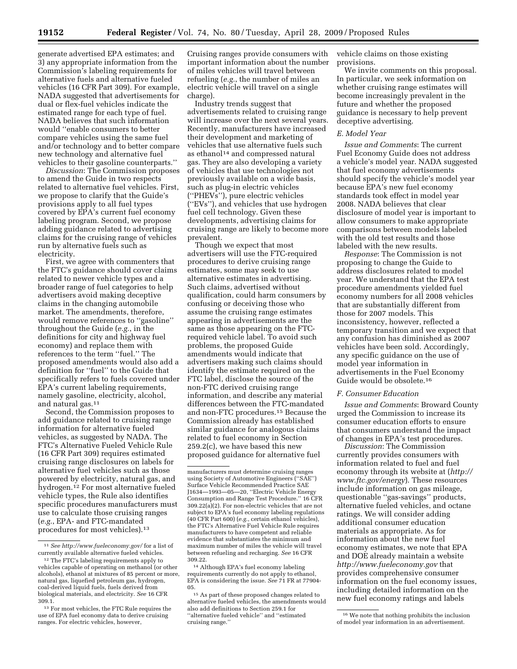generate advertised EPA estimates; and 3) any appropriate information from the Commission's labeling requirements for alternative fuels and alternative fueled vehicles (16 CFR Part 309). For example, NADA suggested that advertisements for dual or flex-fuel vehicles indicate the estimated range for each type of fuel. NADA believes that such information would ''enable consumers to better compare vehicles using the same fuel and/or technology and to better compare new technology and alternative fuel vehicles to their gasoline counterparts.''

*Discussion*: The Commission proposes to amend the Guide in two respects related to alternative fuel vehicles. First, we propose to clarify that the Guide's provisions apply to all fuel types covered by EPA's current fuel economy labeling program. Second, we propose adding guidance related to advertising claims for the cruising range of vehicles run by alternative fuels such as electricity.

First, we agree with commenters that the FTC's guidance should cover claims related to newer vehicle types and a broader range of fuel categories to help advertisers avoid making deceptive claims in the changing automobile market. The amendments, therefore, would remove references to ''gasoline'' throughout the Guide (*e.g.*, in the definitions for city and highway fuel economy) and replace them with references to the term ''fuel.'' The proposed amendments would also add a definition for ''fuel'' to the Guide that specifically refers to fuels covered under EPA's current labeling requirements, namely gasoline, electricity, alcohol, and natural gas.11

Second, the Commission proposes to add guidance related to cruising range information for alternative fueled vehicles, as suggested by NADA. The FTC's Alternative Fueled Vehicle Rule (16 CFR Part 309) requires estimated cruising range disclosures on labels for alternative fuel vehicles such as those powered by electricity, natural gas, and hydrogen.12 For most alternative fueled vehicle types, the Rule also identifies specific procedures manufacturers must use to calculate those cruising ranges (*e.g.*, EPA- and FTC-mandated procedures for most vehicles).13

Cruising ranges provide consumers with important information about the number of miles vehicles will travel between refueling (*e.g.*, the number of miles an electric vehicle will travel on a single charge).

Industry trends suggest that advertisements related to cruising range will increase over the next several years. Recently, manufacturers have increased their development and marketing of vehicles that use alternative fuels such as ethanol<sup>14</sup> and compressed natural gas. They are also developing a variety of vehicles that use technologies not previously available on a wide basis, such as plug-in electric vehicles (''PHEVs''), pure electric vehicles (''EVs''), and vehicles that use hydrogen fuel cell technology. Given these developments, advertising claims for cruising range are likely to become more prevalent.

Though we expect that most advertisers will use the FTC-required procedures to derive cruising range estimates, some may seek to use alternative estimates in advertising. Such claims, advertised without qualification, could harm consumers by confusing or deceiving those who assume the cruising range estimates appearing in advertisements are the same as those appearing on the FTCrequired vehicle label. To avoid such problems, the proposed Guide amendments would indicate that advertisers making such claims should identify the estimate required on the FTC label, disclose the source of the non-FTC derived cruising range information, and describe any material differences between the FTC-mandated and non-FTC procedures.15 Because the Commission already has established similar guidance for analogous claims related to fuel economy in Section 259.2(c), we have based this new proposed guidance for alternative fuel

vehicle claims on those existing provisions.

We invite comments on this proposal. In particular, we seek information on whether cruising range estimates will become increasingly prevalent in the future and whether the proposed guidance is necessary to help prevent deceptive advertising.

### *E. Model Year*

*Issue and Comments*: The current Fuel Economy Guide does not address a vehicle's model year. NADA suggested that fuel economy advertisements should specify the vehicle's model year because EPA's new fuel economy standards took effect in model year 2008. NADA believes that clear disclosure of model year is important to allow consumers to make appropriate comparisons between models labeled with the old test results and those labeled with the new results.

*Response*: The Commission is not proposing to change the Guide to address disclosures related to model year. We understand that the EPA test procedure amendments yielded fuel economy numbers for all 2008 vehicles that are substantially different from those for 2007 models. This inconsistency, however, reflected a temporary transition and we expect that any confusion has diminished as 2007 vehicles have been sold. Accordingly, any specific guidance on the use of model year information in advertisements in the Fuel Economy Guide would be obsolete.16

#### *F. Consumer Education*

*Issue and Comments*: Broward County urged the Commission to increase its consumer education efforts to ensure that consumers understand the impact of changes in EPA's test procedures.

*Discussion*: The Commission currently provides consumers with information related to fuel and fuel economy through its website at (*http:// www.ftc.gov/energy*). These resources include information on gas mileage, questionable ''gas-savings'' products, alternative fueled vehicles, and octane ratings. We will consider adding additional consumer education materials as appropriate. As for information about the new fuel economy estimates, we note that EPA and DOE already maintain a website *http://www.fueleconomy.gov* that provides comprehensive consumer information on the fuel economy issues, including detailed information on the new fuel economy ratings and labels

<sup>11</sup> *See http://www.fueleconomy.gov/* for a list of currently available alternative fueled vehicles.

<sup>12</sup> The FTC's labeling requirements apply to vehicles capable of operating on methanol (or other alcohols), ethanol at mixtures of 85 percent or more, natural gas, liquefied petroleum gas, hydrogen, coal-derived liquid fuels, fuels derived from biological materials, and electricity. *See* 16 CFR 309.1.

<sup>13</sup> For most vehicles, the FTC Rule requires the use of EPA fuel economy data to derive cruising ranges. For electric vehicles, however,

manufacturers must determine cruising ranges using Society of Automotive Engineers (''SAE'') Surface Vehicle Recommended Practice SAE J1634—1993—05—20, ''Electric Vehicle Energy Consumption and Range Test Procedure.'' 16 CFR 309.22(a)(2). For non-electric vehicles that are not subject to EPA's fuel economy labeling regulations (40 CFR Part 600) (*e.g.*, certain ethanol vehicles), the FTC's Alternative Fuel Vehicle Rule requires manufacturers to have competent and reliable evidence that substantiates the minimum and maximum number of miles the vehicle will travel between refueling and recharging. *See* 16 CFR 309.22.

<sup>14</sup> Although EPA's fuel economy labeling requirements currently do not apply to ethanol, EPA is considering the issue. *See* 71 FR at 77904- 05.

<sup>15</sup> As part of these proposed changes related to alternative fueled vehicles, the amendments would also add definitions to Section 259.1 for ''alternative fueled vehicle'' and ''estimated cruising range.''

<sup>16</sup> We note that nothing prohibits the inclusion of model year information in an advertisement.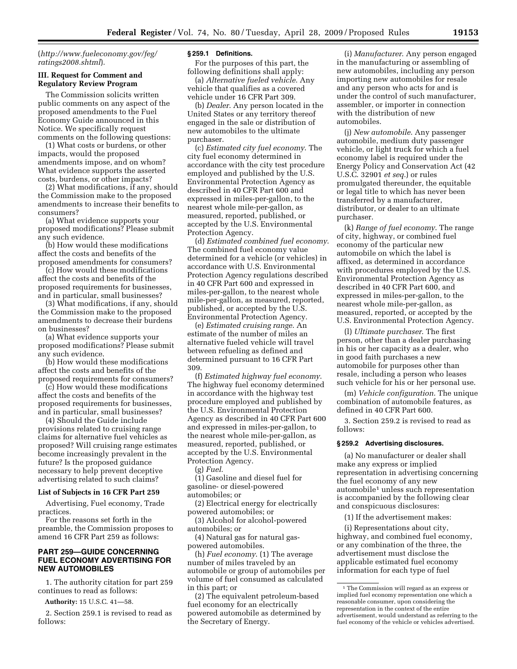(*http://www.fueleconomy.gov/feg/ ratings2008.shtml*).

## **III. Request for Comment and Regulatory Review Program**

The Commission solicits written public comments on any aspect of the proposed amendments to the Fuel Economy Guide announced in this Notice. We specifically request comments on the following questions:

(1) What costs or burdens, or other impacts, would the proposed amendments impose, and on whom? What evidence supports the asserted costs, burdens, or other impacts?

(2) What modifications, if any, should the Commission make to the proposed amendments to increase their benefits to consumers?

(a) What evidence supports your proposed modifications? Please submit any such evidence.

(b) How would these modifications affect the costs and benefits of the proposed amendments for consumers?

(c) How would these modifications affect the costs and benefits of the proposed requirements for businesses, and in particular, small businesses?

(3) What modifications, if any, should the Commission make to the proposed amendments to decrease their burdens on businesses?

(a) What evidence supports your proposed modifications? Please submit any such evidence.

(b) How would these modifications affect the costs and benefits of the proposed requirements for consumers?

(c) How would these modifications affect the costs and benefits of the proposed requirements for businesses, and in particular, small businesses?

(4) Should the Guide include provisions related to cruising range claims for alternative fuel vehicles as proposed? Will cruising range estimates become increasingly prevalent in the future? Is the proposed guidance necessary to help prevent deceptive advertising related to such claims?

#### **List of Subjects in 16 CFR Part 259**

Advertising, Fuel economy, Trade practices.

For the reasons set forth in the preamble, the Commission proposes to amend 16 CFR Part 259 as follows:

# **PART 259—GUIDE CONCERNING FUEL ECONOMY ADVERTISING FOR NEW AUTOMOBILES**

1. The authority citation for part 259 continues to read as follows:

**Authority:** 15 U.S.C. 41—58.

2. Section 259.1 is revised to read as follows:

#### **§ 259.1 Definitions.**

For the purposes of this part, the following definitions shall apply:

(a) *Alternative fueled vehicle*. Any vehicle that qualifies as a covered vehicle under 16 CFR Part 309.

(b) *Dealer*. Any person located in the United States or any territory thereof engaged in the sale or distribution of new automobiles to the ultimate purchaser.

(c) *Estimated city fuel economy*. The city fuel economy determined in accordance with the city test procedure employed and published by the U.S. Environmental Protection Agency as described in 40 CFR Part 600 and expressed in miles-per-gallon, to the nearest whole mile-per-gallon, as measured, reported, published, or accepted by the U.S. Environmental Protection Agency.

(d) *Estimated combined fuel economy*. The combined fuel economy value determined for a vehicle (or vehicles) in accordance with U.S. Environmental Protection Agency regulations described in 40 CFR Part 600 and expressed in miles-per-gallon, to the nearest whole mile-per-gallon, as measured, reported, published, or accepted by the U.S. Environmental Protection Agency.

(e) *Estimated cruising range*. An estimate of the number of miles an alternative fueled vehicle will travel between refueling as defined and determined pursuant to 16 CFR Part 309.

(f) *Estimated highway fuel economy*. The highway fuel economy determined in accordance with the highway test procedure employed and published by the U.S. Environmental Protection Agency as described in 40 CFR Part 600 and expressed in miles-per-gallon, to the nearest whole mile-per-gallon, as measured, reported, published, or accepted by the U.S. Environmental Protection Agency.

(g) *Fuel*.

(1) Gasoline and diesel fuel for gasoline- or diesel-powered automobiles; or

(2) Electrical energy for electrically powered automobiles; or

(3) Alcohol for alcohol-powered automobiles; or

(4) Natural gas for natural gaspowered automobiles.

(h) *Fuel economy*. (1) The average number of miles traveled by an automobile or group of automobiles per volume of fuel consumed as calculated in this part; or

(2) The equivalent petroleum-based fuel economy for an electrically powered automobile as determined by the Secretary of Energy.

(i) *Manufacturer*. Any person engaged in the manufacturing or assembling of new automobiles, including any person importing new automobiles for resale and any person who acts for and is under the control of such manufacturer, assembler, or importer in connection with the distribution of new automobiles.

(j) *New automobile*. Any passenger automobile, medium duty passenger vehicle, or light truck for which a fuel economy label is required under the Energy Policy and Conservation Act (42 U.S.C. 32901 *et seq.*) or rules promulgated thereunder, the equitable or legal title to which has never been transferred by a manufacturer, distributor, or dealer to an ultimate purchaser.

(k) *Range of fuel economy*. The range of city, highway, or combined fuel economy of the particular new automobile on which the label is affixed, as determined in accordance with procedures employed by the U.S. Environmental Protection Agency as described in 40 CFR Part 600, and expressed in miles-per-gallon, to the nearest whole mile-per-gallon, as measured, reported, or accepted by the U.S. Environmental Protection Agency.

(l) *Ultimate purchaser*. The first person, other than a dealer purchasing in his or her capacity as a dealer, who in good faith purchases a new automobile for purposes other than resale, including a person who leases such vehicle for his or her personal use.

(m) *Vehicle configuration*. The unique combination of automobile features, as defined in 40 CFR Part 600.

3. Section 259.2 is revised to read as follows:

#### **§ 259.2 Advertising disclosures.**

(a) No manufacturer or dealer shall make any express or implied representation in advertising concerning the fuel economy of any new automobile1 unless such representation is accompanied by the following clear and conspicuous disclosures:

(1) If the advertisement makes:

(i) Representations about city, highway, and combined fuel economy, or any combination of the three, the advertisement must disclose the applicable estimated fuel economy information for each type of fuel

<sup>1</sup> The Commission will regard as an express or implied fuel economy representation one which a reasonable consumer, upon considering the representation in the context of the entire advertisement, would understand as referring to the fuel economy of the vehicle or vehicles advertised.